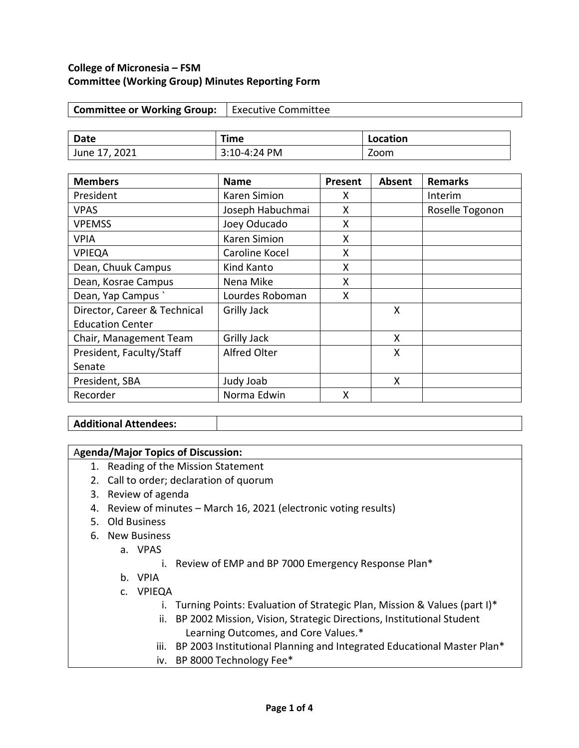### **College of Micronesia – FSM Committee (Working Group) Minutes Reporting Form**

| Committee or Working Group:   Executive Committee |  |
|---------------------------------------------------|--|
|---------------------------------------------------|--|

| <b>Date</b>                | Time         | Location |
|----------------------------|--------------|----------|
| <sup>1</sup> June 17, 2021 | 3:10-4:24 PM | Zoom     |

| <b>Members</b>               | <b>Name</b>         | Present | Absent | <b>Remarks</b>  |
|------------------------------|---------------------|---------|--------|-----------------|
| President                    | <b>Karen Simion</b> | x       |        | Interim         |
| <b>VPAS</b>                  | Joseph Habuchmai    | X       |        | Roselle Togonon |
| <b>VPEMSS</b>                | Joey Oducado        | X       |        |                 |
| <b>VPIA</b>                  | <b>Karen Simion</b> | X       |        |                 |
| <b>VPIEQA</b>                | Caroline Kocel      | X       |        |                 |
| Dean, Chuuk Campus           | Kind Kanto          | X       |        |                 |
| Dean, Kosrae Campus          | Nena Mike           | Χ       |        |                 |
| Dean, Yap Campus             | Lourdes Roboman     | X       |        |                 |
| Director, Career & Technical | <b>Grilly Jack</b>  |         | X      |                 |
| <b>Education Center</b>      |                     |         |        |                 |
| Chair, Management Team       | <b>Grilly Jack</b>  |         | X      |                 |
| President, Faculty/Staff     | <b>Alfred Olter</b> |         | X      |                 |
| Senate                       |                     |         |        |                 |
| President, SBA               | Judy Joab           |         | X      |                 |
| Recorder                     | Norma Edwin         | x       |        |                 |

## **Additional Attendees:**

### A**genda/Major Topics of Discussion:**

- 1. Reading of the Mission Statement
- 2. Call to order; declaration of quorum
- 3. Review of agenda
- 4. Review of minutes March 16, 2021 (electronic voting results)
- 5. Old Business
- 6. New Business
	- a. VPAS
		- i. Review of EMP and BP 7000 Emergency Response Plan\*
	- b. VPIA
	- c. VPIEQA
		- i. Turning Points: Evaluation of Strategic Plan, Mission & Values (part I)\*
		- ii. BP 2002 Mission, Vision, Strategic Directions, Institutional Student Learning Outcomes, and Core Values.\*
		- iii. BP 2003 Institutional Planning and Integrated Educational Master Plan\*
		- iv. BP 8000 Technology Fee\*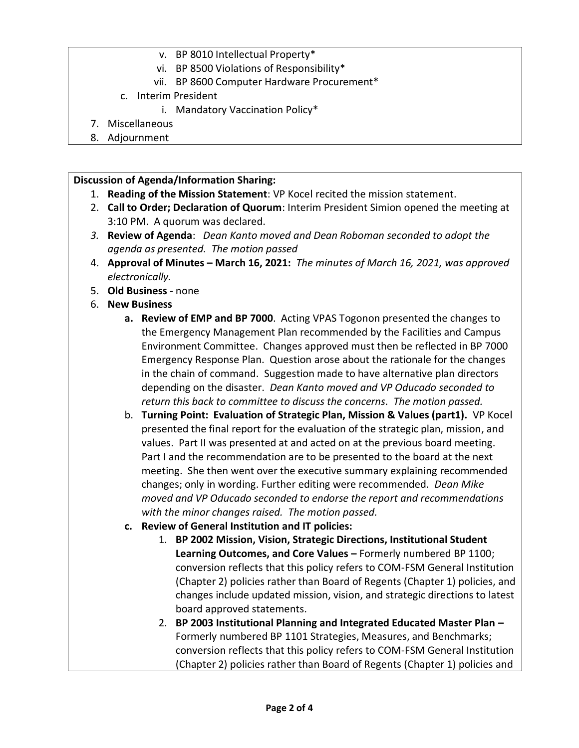- v. BP 8010 Intellectual Property\*
- vi. BP 8500 Violations of Responsibility\*
- vii. BP 8600 Computer Hardware Procurement\*
- c. Interim President
	- i. Mandatory Vaccination Policy\*
- 7. Miscellaneous
- 8. Adjournment

### **Discussion of Agenda/Information Sharing:**

- 1. **Reading of the Mission Statement**: VP Kocel recited the mission statement.
- 2. **Call to Order; Declaration of Quorum**: Interim President Simion opened the meeting at 3:10 PM. A quorum was declared.
- *3.* **Review of Agenda**: *Dean Kanto moved and Dean Roboman seconded to adopt the agenda as presented. The motion passed*
- 4. **Approval of Minutes – March 16, 2021:** *The minutes of March 16, 2021, was approved electronically.*
- 5. **Old Business**  none
- 6. **New Business**
	- **a. Review of EMP and BP 7000**. Acting VPAS Togonon presented the changes to the Emergency Management Plan recommended by the Facilities and Campus Environment Committee. Changes approved must then be reflected in BP 7000 Emergency Response Plan. Question arose about the rationale for the changes in the chain of command. Suggestion made to have alternative plan directors depending on the disaster. *Dean Kanto moved and VP Oducado seconded to return this back to committee to discuss the concerns. The motion passed.*
	- b. **Turning Point: Evaluation of Strategic Plan, Mission & Values (part1).** VP Kocel presented the final report for the evaluation of the strategic plan, mission, and values. Part II was presented at and acted on at the previous board meeting. Part I and the recommendation are to be presented to the board at the next meeting. She then went over the executive summary explaining recommended changes; only in wording. Further editing were recommended. *Dean Mike moved and VP Oducado seconded to endorse the report and recommendations with the minor changes raised. The motion passed.*
	- **c. Review of General Institution and IT policies:**
		- 1. **BP 2002 Mission, Vision, Strategic Directions, Institutional Student Learning Outcomes, and Core Values –** Formerly numbered BP 1100; conversion reflects that this policy refers to COM-FSM General Institution (Chapter 2) policies rather than Board of Regents (Chapter 1) policies, and changes include updated mission, vision, and strategic directions to latest board approved statements.
		- 2. **BP 2003 Institutional Planning and Integrated Educated Master Plan –** Formerly numbered BP 1101 Strategies, Measures, and Benchmarks; conversion reflects that this policy refers to COM-FSM General Institution (Chapter 2) policies rather than Board of Regents (Chapter 1) policies and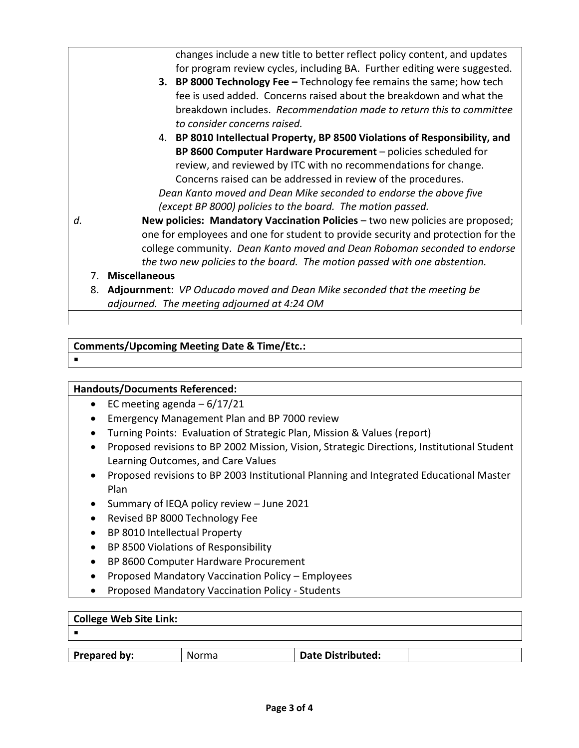changes include a new title to better reflect policy content, and updates for program review cycles, including BA. Further editing were suggested. **3. BP 8000 Technology Fee –** Technology fee remains the same; how tech fee is used added. Concerns raised about the breakdown and what the breakdown includes. *Recommendation made to return this to committee to consider concerns raised.* 4. **BP 8010 Intellectual Property, BP 8500 Violations of Responsibility, and BP 8600 Computer Hardware Procurement** – policies scheduled for review, and reviewed by ITC with no recommendations for change. Concerns raised can be addressed in review of the procedures. *Dean Kanto moved and Dean Mike seconded to endorse the above five (except BP 8000) policies to the board. The motion passed. d.* **New policies: Mandatory Vaccination Policies** – two new policies are proposed; one for employees and one for student to provide security and protection for the college community. *Dean Kanto moved and Dean Roboman seconded to endorse* 

- *the two new policies to the board. The motion passed with one abstention.*
- 7. **Miscellaneous**
- 8. **Adjournment**: *VP Oducado moved and Dean Mike seconded that the meeting be adjourned. The meeting adjourned at 4:24 OM*

# **Comments/Upcoming Meeting Date & Time/Etc.:**

 $\blacksquare$ 

## **Handouts/Documents Referenced:**

- EC meeting agenda  $-6/17/21$
- Emergency Management Plan and BP 7000 review
- Turning Points: Evaluation of Strategic Plan, Mission & Values (report)
- Proposed revisions to BP 2002 Mission, Vision, Strategic Directions, Institutional Student Learning Outcomes, and Care Values
- Proposed revisions to BP 2003 Institutional Planning and Integrated Educational Master Plan
- Summary of IEQA policy review June 2021
- Revised BP 8000 Technology Fee
- BP 8010 Intellectual Property
- BP 8500 Violations of Responsibility
- BP 8600 Computer Hardware Procurement
- Proposed Mandatory Vaccination Policy Employees
- Proposed Mandatory Vaccination Policy Students

| College Web Site Link: |       |                   |  |
|------------------------|-------|-------------------|--|
|                        |       |                   |  |
|                        |       |                   |  |
| Prepared by:           | Norma | Date Distributed: |  |